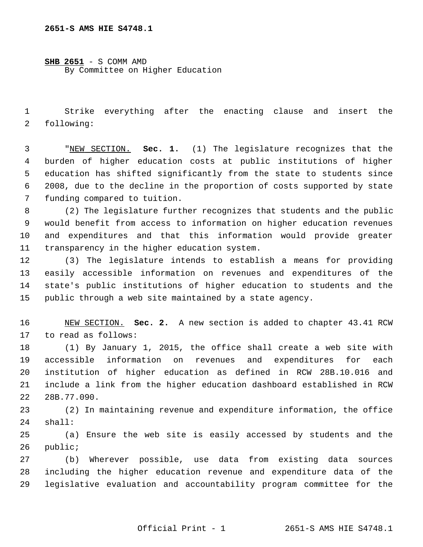**SHB 2651** - S COMM AMD By Committee on Higher Education

 1 Strike everything after the enacting clause and insert the 2 following:

 3 "NEW SECTION. **Sec. 1.** (1) The legislature recognizes that the 4 burden of higher education costs at public institutions of higher 5 education has shifted significantly from the state to students since 6 2008, due to the decline in the proportion of costs supported by state 7 funding compared to tuition.

 8 (2) The legislature further recognizes that students and the public 9 would benefit from access to information on higher education revenues 10 and expenditures and that this information would provide greater 11 transparency in the higher education system.

12 (3) The legislature intends to establish a means for providing 13 easily accessible information on revenues and expenditures of the 14 state's public institutions of higher education to students and the 15 public through a web site maintained by a state agency.

16 NEW SECTION. **Sec. 2.** A new section is added to chapter 43.41 RCW 17 to read as follows:

18 (1) By January 1, 2015, the office shall create a web site with 19 accessible information on revenues and expenditures for each 20 institution of higher education as defined in RCW 28B.10.016 and 21 include a link from the higher education dashboard established in RCW 22 28B.77.090.

23 (2) In maintaining revenue and expenditure information, the office 24 shall:

25 (a) Ensure the web site is easily accessed by students and the 26 public;

27 (b) Wherever possible, use data from existing data sources 28 including the higher education revenue and expenditure data of the 29 legislative evaluation and accountability program committee for the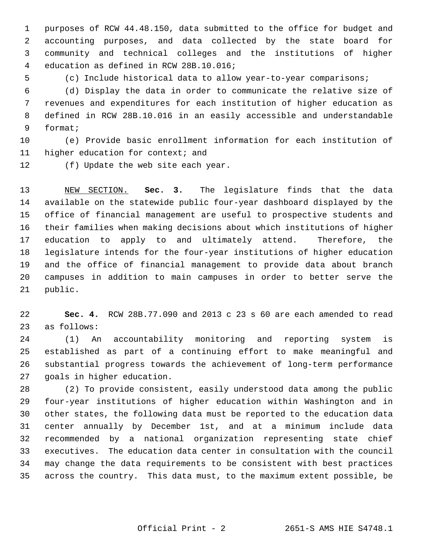1 purposes of RCW 44.48.150, data submitted to the office for budget and 2 accounting purposes, and data collected by the state board for 3 community and technical colleges and the institutions of higher 4 education as defined in RCW 28B.10.016;

5 (c) Include historical data to allow year-to-year comparisons;

 6 (d) Display the data in order to communicate the relative size of 7 revenues and expenditures for each institution of higher education as 8 defined in RCW 28B.10.016 in an easily accessible and understandable 9 format;

10 (e) Provide basic enrollment information for each institution of 11 higher education for context; and

12 (f) Update the web site each year.

13 NEW SECTION. **Sec. 3.** The legislature finds that the data 14 available on the statewide public four-year dashboard displayed by the 15 office of financial management are useful to prospective students and 16 their families when making decisions about which institutions of higher 17 education to apply to and ultimately attend. Therefore, the 18 legislature intends for the four-year institutions of higher education 19 and the office of financial management to provide data about branch 20 campuses in addition to main campuses in order to better serve the 21 public.

22 **Sec. 4.** RCW 28B.77.090 and 2013 c 23 s 60 are each amended to read 23 as follows:

24 (1) An accountability monitoring and reporting system is 25 established as part of a continuing effort to make meaningful and 26 substantial progress towards the achievement of long-term performance 27 goals in higher education.

28 (2) To provide consistent, easily understood data among the public 29 four-year institutions of higher education within Washington and in 30 other states, the following data must be reported to the education data 31 center annually by December 1st, and at a minimum include data 32 recommended by a national organization representing state chief 33 executives. The education data center in consultation with the council 34 may change the data requirements to be consistent with best practices 35 across the country. This data must, to the maximum extent possible, be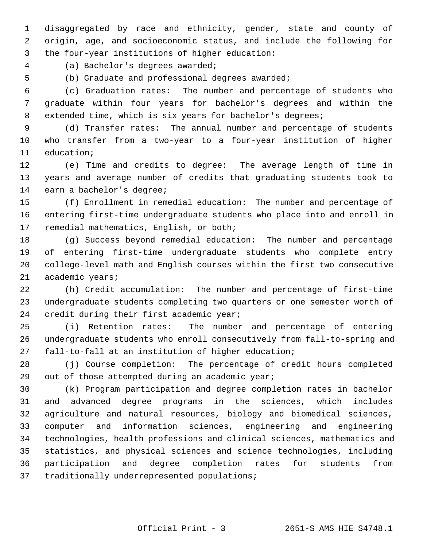1 disaggregated by race and ethnicity, gender, state and county of 2 origin, age, and socioeconomic status, and include the following for 3 the four-year institutions of higher education:

4 (a) Bachelor's degrees awarded;

5 (b) Graduate and professional degrees awarded;

 6 (c) Graduation rates: The number and percentage of students who 7 graduate within four years for bachelor's degrees and within the 8 extended time, which is six years for bachelor's degrees;

 9 (d) Transfer rates: The annual number and percentage of students 10 who transfer from a two-year to a four-year institution of higher 11 education;

12 (e) Time and credits to degree: The average length of time in 13 years and average number of credits that graduating students took to 14 earn a bachelor's degree;

15 (f) Enrollment in remedial education: The number and percentage of 16 entering first-time undergraduate students who place into and enroll in 17 remedial mathematics, English, or both;

18 (g) Success beyond remedial education: The number and percentage 19 of entering first-time undergraduate students who complete entry 20 college-level math and English courses within the first two consecutive 21 academic years;

22 (h) Credit accumulation: The number and percentage of first-time 23 undergraduate students completing two quarters or one semester worth of 24 credit during their first academic year;

25 (i) Retention rates: The number and percentage of entering 26 undergraduate students who enroll consecutively from fall-to-spring and 27 fall-to-fall at an institution of higher education;

28 (j) Course completion: The percentage of credit hours completed 29 out of those attempted during an academic year;

30 (k) Program participation and degree completion rates in bachelor 31 and advanced degree programs in the sciences, which includes 32 agriculture and natural resources, biology and biomedical sciences, 33 computer and information sciences, engineering and engineering 34 technologies, health professions and clinical sciences, mathematics and 35 statistics, and physical sciences and science technologies, including 36 participation and degree completion rates for students from 37 traditionally underrepresented populations;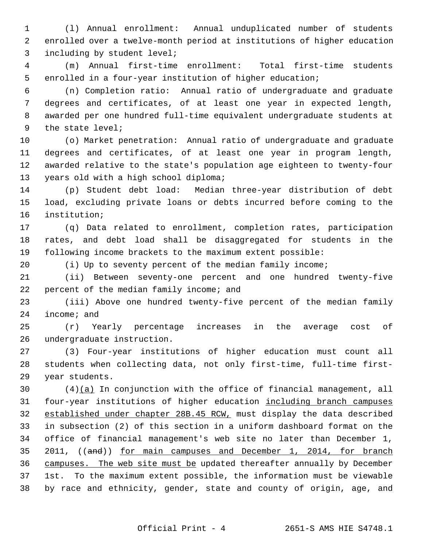1 (l) Annual enrollment: Annual unduplicated number of students 2 enrolled over a twelve-month period at institutions of higher education 3 including by student level;

 4 (m) Annual first-time enrollment: Total first-time students 5 enrolled in a four-year institution of higher education;

 6 (n) Completion ratio: Annual ratio of undergraduate and graduate 7 degrees and certificates, of at least one year in expected length, 8 awarded per one hundred full-time equivalent undergraduate students at 9 the state level;

10 (o) Market penetration: Annual ratio of undergraduate and graduate 11 degrees and certificates, of at least one year in program length, 12 awarded relative to the state's population age eighteen to twenty-four 13 years old with a high school diploma;

14 (p) Student debt load: Median three-year distribution of debt 15 load, excluding private loans or debts incurred before coming to the 16 institution;

17 (q) Data related to enrollment, completion rates, participation 18 rates, and debt load shall be disaggregated for students in the 19 following income brackets to the maximum extent possible:

20 (i) Up to seventy percent of the median family income;

21 (ii) Between seventy-one percent and one hundred twenty-five 22 percent of the median family income; and

23 (iii) Above one hundred twenty-five percent of the median family 24 income; and

25 (r) Yearly percentage increases in the average cost of 26 undergraduate instruction.

27 (3) Four-year institutions of higher education must count all 28 students when collecting data, not only first-time, full-time first-29 year students.

30 (4)(a) In conjunction with the office of financial management, all 31 four-year institutions of higher education including branch campuses 32 established under chapter 28B.45 RCW, must display the data described 33 in subsection (2) of this section in a uniform dashboard format on the 34 office of financial management's web site no later than December 1, 35 2011, ((and)) for main campuses and December 1, 2014, for branch 36 campuses. The web site must be updated thereafter annually by December 37 1st. To the maximum extent possible, the information must be viewable 38 by race and ethnicity, gender, state and county of origin, age, and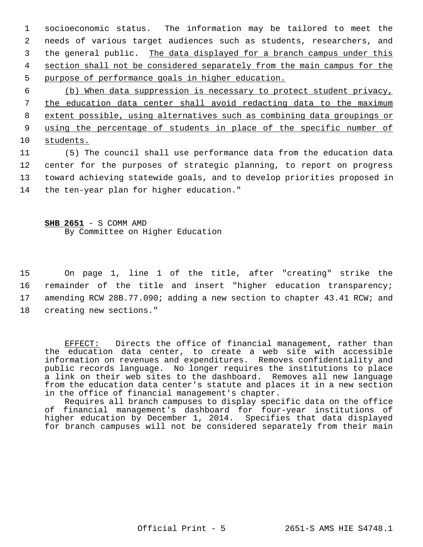1 socioeconomic status. The information may be tailored to meet the 2 needs of various target audiences such as students, researchers, and 3 the general public. The data displayed for a branch campus under this 4 section shall not be considered separately from the main campus for the 5 purpose of performance goals in higher education.

 (b) When data suppression is necessary to protect student privacy, the education data center shall avoid redacting data to the maximum extent possible, using alternatives such as combining data groupings or using the percentage of students in place of the specific number of students.

11 (5) The council shall use performance data from the education data 12 center for the purposes of strategic planning, to report on progress 13 toward achieving statewide goals, and to develop priorities proposed in 14 the ten-year plan for higher education."

**SHB 2651** - S COMM AMD By Committee on Higher Education

15 On page 1, line 1 of the title, after "creating" strike the 16 remainder of the title and insert "higher education transparency; 17 amending RCW 28B.77.090; adding a new section to chapter 43.41 RCW; and 18 creating new sections."

EFFECT: Directs the office of financial management, rather than the education data center, to create a web site with accessible information on revenues and expenditures. Removes confidentiality and public records language. No longer requires the institutions to place a link on their web sites to the dashboard. Removes all new language from the education data center's statute and places it in a new section in the office of financial management's chapter.

Requires all branch campuses to display specific data on the office of financial management's dashboard for four-year institutions of higher education by December 1, 2014. Specifies that data displayed for branch campuses will not be considered separately from their main